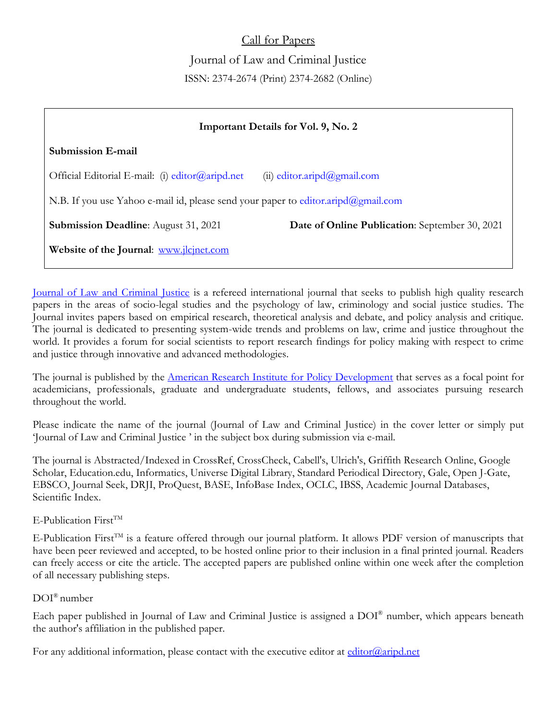Call for Papers Journal of Law and Criminal Justice ISSN: 2374-2674 (Print) 2374-2682 (Online)

| <b>Important Details for Vol. 9, No. 2</b>                                                           |
|------------------------------------------------------------------------------------------------------|
| Submission E-mail                                                                                    |
| Official Editorial E-mail: (i) editor@aripd.net<br>(ii) editor.aripd@gmail.com                       |
| N.B. If you use Yahoo e-mail id, please send your paper to editor.aripd@gmail.com                    |
| <b>Date of Online Publication:</b> September 30, 2021<br><b>Submission Deadline:</b> August 31, 2021 |
| Website of the Journal: www.jlcjnet.com                                                              |

[Journal of Law and Criminal Justice](http://jlcjnet.com/) is a refereed international journal that seeks to publish high quality research papers in the areas of socio-legal studies and the psychology of law, criminology and social justice studies. The Journal invites papers based on empirical research, theoretical analysis and debate, and policy analysis and critique. The journal is dedicated to presenting system-wide trends and problems on law, crime and justice throughout the world. It provides a forum for social scientists to report research findings for policy making with respect to crime and justice through innovative and advanced methodologies.

The journal is published by the [American Research Institute for Policy Development](https://aripd.net/) that serves as a focal point for academicians, professionals, graduate and undergraduate students, fellows, and associates pursuing research throughout the world.

Please indicate the name of the journal (Journal of Law and Criminal Justice) in the cover letter or simply put 'Journal of Law and Criminal Justice ' in the subject box during submission via e-mail.

The journal is Abstracted/Indexed in CrossRef, CrossCheck, Cabell's, Ulrich's, Griffith Research Online, Google Scholar, Education.edu, Informatics, Universe Digital Library, Standard Periodical Directory, Gale, Open J-Gate, EBSCO, Journal Seek, DRJI, ProQuest, BASE, InfoBase Index, OCLC, IBSS, Academic Journal Databases, Scientific Index.

## $E-Publication$  First<sup>TM</sup>

E-Publication First<sup>TM</sup> is a feature offered through our journal platform. It allows PDF version of manuscripts that have been peer reviewed and accepted, to be hosted online prior to their inclusion in a final printed journal. Readers can freely access or cite the article. The accepted papers are published online within one week after the completion of all necessary publishing steps.

## DOI® number

Each paper published in Journal of Law and Criminal Justice is assigned a DOI® number, which appears beneath the author's affiliation in the published paper.

For any additional information, please contact with the executive editor at [editor@aripd.net](mailto:editor@aripd.net)